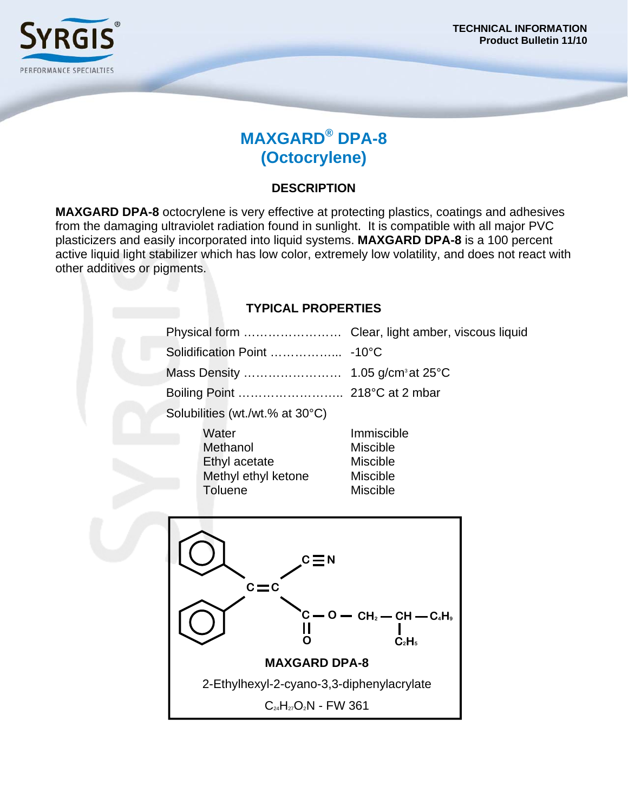

# **MAXGARD® DPA-8 (Octocrylene)**

## **DESCRIPTION**

**MAXGARD DPA-8** octocrylene is very effective at protecting plastics, coatings and adhesives from the damaging ultraviolet radiation found in sunlight. It is compatible with all major PVC plasticizers and easily incorporated into liquid systems. **MAXGARD DPA-8** is a 100 percent active liquid light stabilizer which has low color, extremely low volatility, and does not react with other additives or pigments.

### **TYPICAL PROPERTIES**

| Physical form                                                        | Clear, light amber, viscous liquid                                                                  |  |
|----------------------------------------------------------------------|-----------------------------------------------------------------------------------------------------|--|
|                                                                      |                                                                                                     |  |
|                                                                      |                                                                                                     |  |
| Boiling Point  218°C at 2 mbar                                       |                                                                                                     |  |
| Solubilities (wt./wt.% at 30°C)                                      |                                                                                                     |  |
| Water<br>Methanol<br>Ethyl acetate<br>Methyl ethyl ketone<br>Toluene | Immiscible<br><b>Miscible</b><br><b>Miscible</b><br><b>Miscible</b><br><b>Miscible</b>              |  |
| $\mathsf{c}\mathop{=}\limits\mathsf{n}$<br>$c\!=\!c$                 |                                                                                                     |  |
| C.                                                                   | $-$ O $-$ CH <sub>2</sub> $-$ CH $-$ C <sub>4</sub> H <sub>9</sub><br>C <sub>2</sub> H <sub>5</sub> |  |
| <b>MAXGARD DPA-8</b>                                                 |                                                                                                     |  |
| 2-Ethylhexyl-2-cyano-3,3-diphenylacrylate                            |                                                                                                     |  |
| $C_{24}H_{27}O_2N$ - FW 361                                          |                                                                                                     |  |